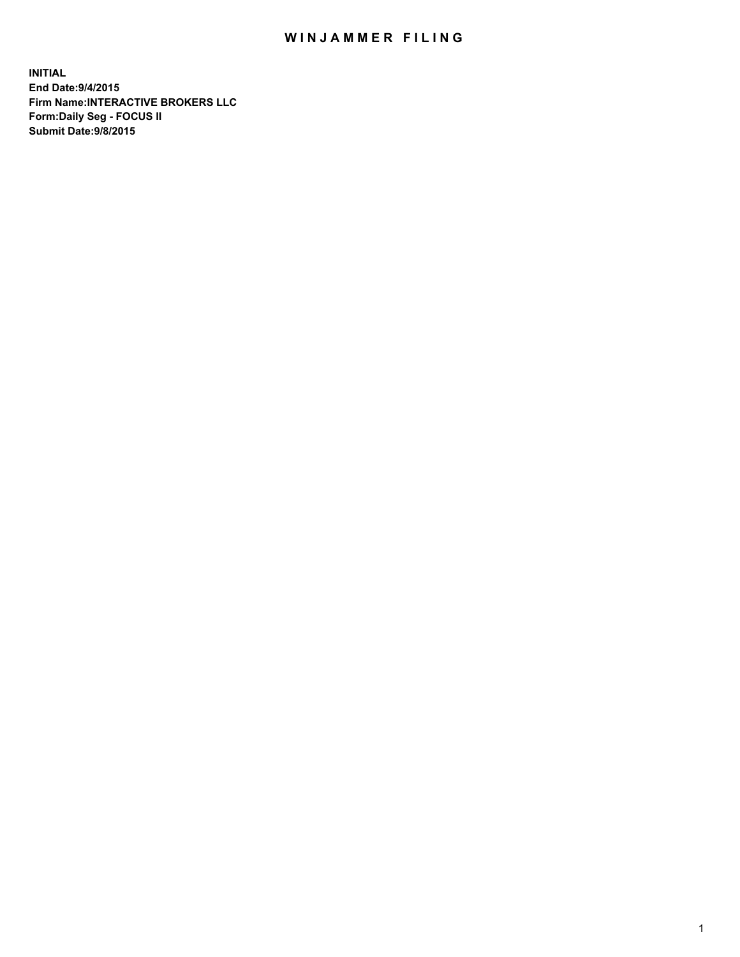## WIN JAMMER FILING

**INITIAL End Date:9/4/2015 Firm Name:INTERACTIVE BROKERS LLC Form:Daily Seg - FOCUS II Submit Date:9/8/2015**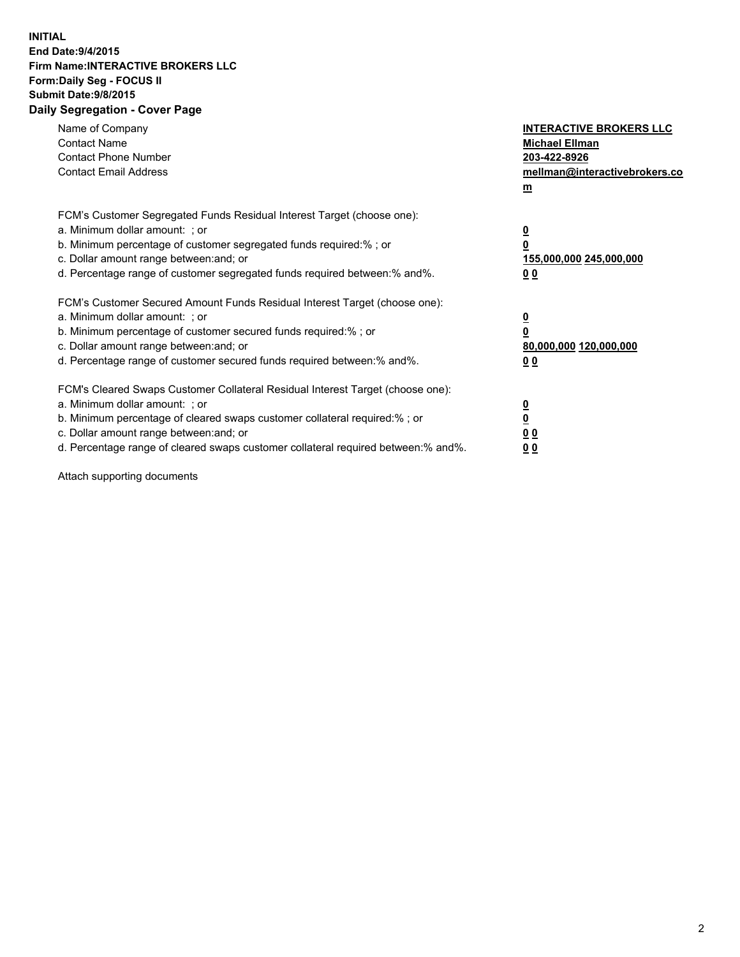## **INITIAL End Date:9/4/2015 Firm Name:INTERACTIVE BROKERS LLC Form:Daily Seg - FOCUS II Submit Date:9/8/2015 Daily Segregation - Cover Page**

| Name of Company<br><b>Contact Name</b><br><b>Contact Phone Number</b><br><b>Contact Email Address</b>                                                                                                                                                                                                                          | <b>INTERACTIVE BROKERS LLC</b><br><b>Michael Ellman</b><br>203-422-8926<br>mellman@interactivebrokers.co<br>$\mathbf{m}$ |
|--------------------------------------------------------------------------------------------------------------------------------------------------------------------------------------------------------------------------------------------------------------------------------------------------------------------------------|--------------------------------------------------------------------------------------------------------------------------|
| FCM's Customer Segregated Funds Residual Interest Target (choose one):<br>a. Minimum dollar amount: ; or<br>b. Minimum percentage of customer segregated funds required:% ; or<br>c. Dollar amount range between: and; or<br>d. Percentage range of customer segregated funds required between:% and%.                         | $\overline{\mathbf{0}}$<br>0<br>155,000,000 245,000,000<br>0 <sub>0</sub>                                                |
| FCM's Customer Secured Amount Funds Residual Interest Target (choose one):<br>a. Minimum dollar amount: ; or<br>b. Minimum percentage of customer secured funds required:%; or<br>c. Dollar amount range between: and; or<br>d. Percentage range of customer secured funds required between: % and %.                          | $\underline{\mathbf{0}}$<br>0<br>80,000,000 120,000,000<br>0 <sub>0</sub>                                                |
| FCM's Cleared Swaps Customer Collateral Residual Interest Target (choose one):<br>a. Minimum dollar amount: ; or<br>b. Minimum percentage of cleared swaps customer collateral required:% ; or<br>c. Dollar amount range between: and; or<br>d. Percentage range of cleared swaps customer collateral required between:% and%. | $\overline{\mathbf{0}}$<br>$\overline{\mathbf{0}}$<br>0 <sub>0</sub><br>0 <sup>0</sup>                                   |

Attach supporting documents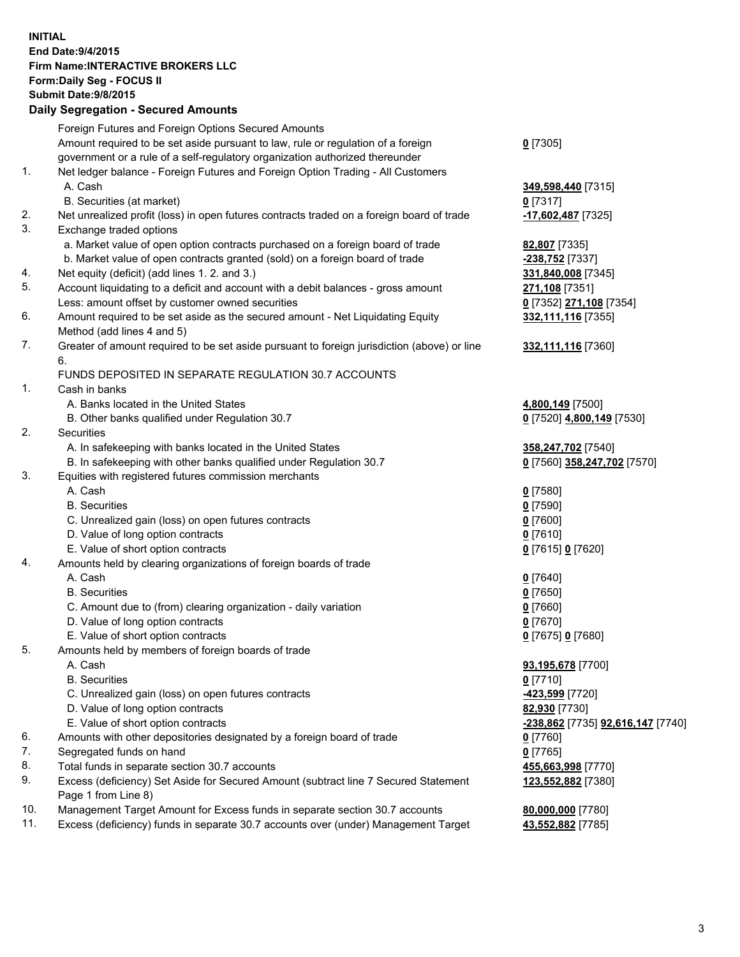## **INITIAL End Date:9/4/2015 Firm Name:INTERACTIVE BROKERS LLC Form:Daily Seg - FOCUS II Submit Date:9/8/2015 Daily Segregation - Secured Amounts**

|     | Foreign Futures and Foreign Options Secured Amounts                                         |                                   |
|-----|---------------------------------------------------------------------------------------------|-----------------------------------|
|     | Amount required to be set aside pursuant to law, rule or regulation of a foreign            | $0$ [7305]                        |
|     | government or a rule of a self-regulatory organization authorized thereunder                |                                   |
| 1.  | Net ledger balance - Foreign Futures and Foreign Option Trading - All Customers             |                                   |
|     | A. Cash                                                                                     | 349,598,440 [7315]                |
|     | B. Securities (at market)                                                                   | $0$ [7317]                        |
| 2.  | Net unrealized profit (loss) in open futures contracts traded on a foreign board of trade   | -17,602,487 [7325]                |
| 3.  | Exchange traded options                                                                     |                                   |
|     | a. Market value of open option contracts purchased on a foreign board of trade              | 82,807 [7335]                     |
|     | b. Market value of open contracts granted (sold) on a foreign board of trade                | -238,752 [7337]                   |
| 4.  | Net equity (deficit) (add lines 1.2. and 3.)                                                | 331,840,008 [7345]                |
| 5.  | Account liquidating to a deficit and account with a debit balances - gross amount           | 271,108 [7351]                    |
|     | Less: amount offset by customer owned securities                                            | 0 [7352] 271,108 [7354]           |
| 6.  | Amount required to be set aside as the secured amount - Net Liquidating Equity              | 332,111,116 [7355]                |
|     | Method (add lines 4 and 5)                                                                  |                                   |
| 7.  | Greater of amount required to be set aside pursuant to foreign jurisdiction (above) or line | 332,111,116 [7360]                |
|     | 6.                                                                                          |                                   |
|     | FUNDS DEPOSITED IN SEPARATE REGULATION 30.7 ACCOUNTS                                        |                                   |
| 1.  | Cash in banks                                                                               |                                   |
|     | A. Banks located in the United States                                                       | 4,800,149 [7500]                  |
|     | B. Other banks qualified under Regulation 30.7                                              | 0 [7520] 4,800,149 [7530]         |
| 2.  | Securities                                                                                  |                                   |
|     | A. In safekeeping with banks located in the United States                                   | 358,247,702 [7540]                |
|     | B. In safekeeping with other banks qualified under Regulation 30.7                          | 0 [7560] 358,247,702 [7570]       |
| 3.  | Equities with registered futures commission merchants                                       |                                   |
|     | A. Cash                                                                                     | $0$ [7580]                        |
|     | <b>B.</b> Securities                                                                        | $0$ [7590]                        |
|     | C. Unrealized gain (loss) on open futures contracts                                         | $0$ [7600]                        |
|     | D. Value of long option contracts                                                           | $0$ [7610]                        |
|     | E. Value of short option contracts                                                          | 0 [7615] 0 [7620]                 |
| 4.  | Amounts held by clearing organizations of foreign boards of trade                           |                                   |
|     | A. Cash                                                                                     | $0$ [7640]                        |
|     | <b>B.</b> Securities                                                                        | $0$ [7650]                        |
|     | C. Amount due to (from) clearing organization - daily variation                             | $0$ [7660]                        |
|     | D. Value of long option contracts                                                           | $0$ [7670]                        |
|     | E. Value of short option contracts                                                          | 0 [7675] 0 [7680]                 |
| 5.  | Amounts held by members of foreign boards of trade                                          |                                   |
|     | A. Cash                                                                                     | 93,195,678 [7700]                 |
|     | <b>B.</b> Securities                                                                        | $0$ [7710]                        |
|     | C. Unrealized gain (loss) on open futures contracts                                         | -423,599 [7720]                   |
|     | D. Value of long option contracts                                                           | 82,930 [7730]                     |
|     | E. Value of short option contracts                                                          | -238,862 [7735] 92,616,147 [7740] |
| 6.  | Amounts with other depositories designated by a foreign board of trade                      | $0$ [7760]                        |
| 7.  | Segregated funds on hand                                                                    | $0$ [7765]                        |
| 8.  | Total funds in separate section 30.7 accounts                                               | 455,663,998 [7770]                |
| 9.  | Excess (deficiency) Set Aside for Secured Amount (subtract line 7 Secured Statement         | 123,552,882 [7380]                |
|     | Page 1 from Line 8)                                                                         |                                   |
| 10. | Management Target Amount for Excess funds in separate section 30.7 accounts                 | 80,000,000 [7780]                 |
| 11. | Excess (deficiency) funds in separate 30.7 accounts over (under) Management Target          | 43,552,882 [7785]                 |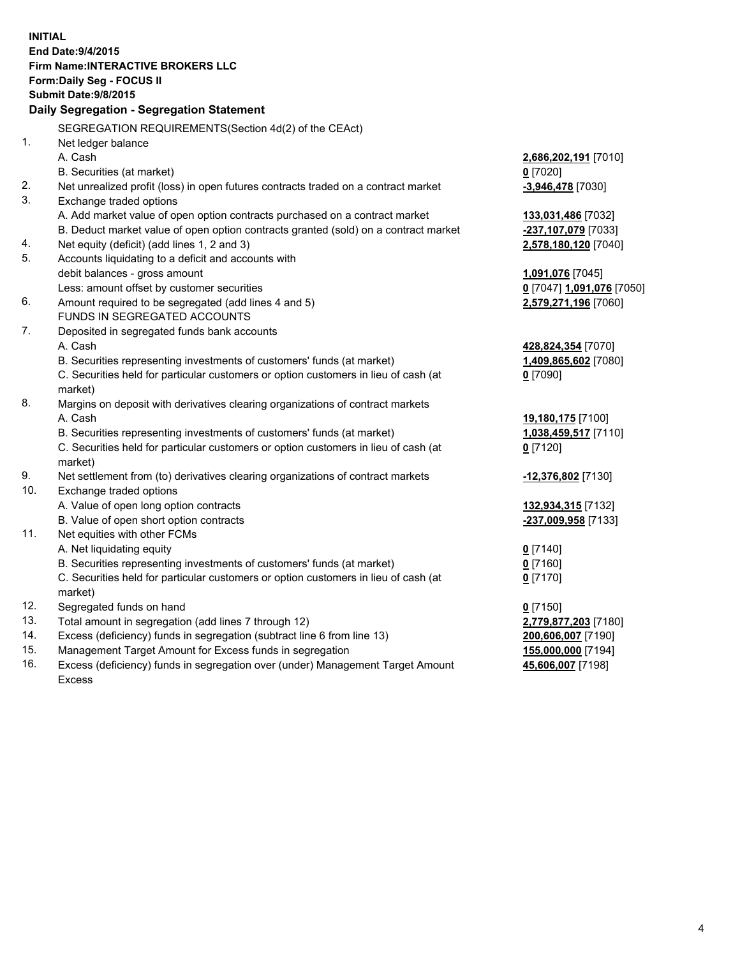**INITIAL End Date:9/4/2015 Firm Name:INTERACTIVE BROKERS LLC Form:Daily Seg - FOCUS II Submit Date:9/8/2015 Daily Segregation - Segregation Statement** SEGREGATION REQUIREMENTS(Section 4d(2) of the CEAct) 1. Net ledger balance A. Cash **2,686,202,191** [7010] B. Securities (at market) **0** [7020] 2. Net unrealized profit (loss) in open futures contracts traded on a contract market **-3,946,478** [7030] 3. Exchange traded options A. Add market value of open option contracts purchased on a contract market **133,031,486** [7032] B. Deduct market value of open option contracts granted (sold) on a contract market **-237,107,079** [7033] 4. Net equity (deficit) (add lines 1, 2 and 3) **2,578,180,120** [7040] 5. Accounts liquidating to a deficit and accounts with debit balances - gross amount **1,091,076** [7045] Less: amount offset by customer securities **0** [7047] **1,091,076** [7050] 6. Amount required to be segregated (add lines 4 and 5) **2,579,271,196** [7060] FUNDS IN SEGREGATED ACCOUNTS 7. Deposited in segregated funds bank accounts A. Cash **428,824,354** [7070] B. Securities representing investments of customers' funds (at market) **1,409,865,602** [7080] C. Securities held for particular customers or option customers in lieu of cash (at market) **0** [7090] 8. Margins on deposit with derivatives clearing organizations of contract markets A. Cash **19,180,175** [7100] B. Securities representing investments of customers' funds (at market) **1,038,459,517** [7110] C. Securities held for particular customers or option customers in lieu of cash (at market) **0** [7120] 9. Net settlement from (to) derivatives clearing organizations of contract markets **-12,376,802** [7130] 10. Exchange traded options A. Value of open long option contracts **132,934,315** [7132] B. Value of open short option contracts **-237,009,958** [7133] 11. Net equities with other FCMs A. Net liquidating equity **0** [7140] B. Securities representing investments of customers' funds (at market) **0** [7160] C. Securities held for particular customers or option customers in lieu of cash (at market) **0** [7170] 12. Segregated funds on hand **0** [7150] 13. Total amount in segregation (add lines 7 through 12) **2,779,877,203** [7180] 14. Excess (deficiency) funds in segregation (subtract line 6 from line 13) **200,606,007** [7190] 15. Management Target Amount for Excess funds in segregation **155,000,000** [7194]

16. Excess (deficiency) funds in segregation over (under) Management Target Amount Excess

**45,606,007** [7198]